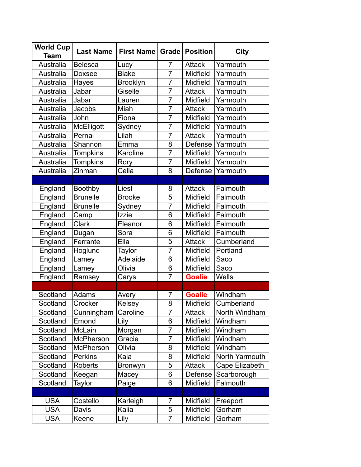| <b>World Cup</b><br><b>Team</b> | <b>Last Name</b> | <b>First Name</b> | Grade          | <b>Position</b> | <b>City</b>    |
|---------------------------------|------------------|-------------------|----------------|-----------------|----------------|
| Australia                       | <b>Belesca</b>   | Lucy              | $\overline{7}$ | <b>Attack</b>   | Yarmouth       |
| Australia                       | Doxsee           | <b>Blake</b>      | $\overline{7}$ | Midfield        | Yarmouth       |
| Australia                       | Hayes            | <b>Brooklyn</b>   | $\overline{7}$ | Midfield        | Yarmouth       |
| Australia                       | Jabar            | Giselle           | $\overline{7}$ | <b>Attack</b>   | Yarmouth       |
| Australia                       | Jabar            | Lauren            | $\overline{7}$ | Midfield        | Yarmouth       |
| Australia                       | Jacobs           | Miah              | $\overline{7}$ | <b>Attack</b>   | Yarmouth       |
| Australia                       | John             | Fiona             | $\overline{7}$ | Midfield        | Yarmouth       |
| Australia                       | McElligott       | Sydney            | $\overline{7}$ | Midfield        | Yarmouth       |
| Australia                       | Pernal           | Lilah             | $\overline{7}$ | <b>Attack</b>   | Yarmouth       |
| Australia                       | Shannon          | Emma              | $\overline{8}$ | Defense         | Yarmouth       |
| Australia                       | <b>Tompkins</b>  | Karoline          | $\overline{7}$ | Midfield        | Yarmouth       |
| Australia                       | <b>Tompkins</b>  | Rory              | $\overline{7}$ | Midfield        | Yarmouth       |
| Australia                       | Zinman           | Celia             | 8              | Defense         | Yarmouth       |
|                                 |                  |                   |                |                 |                |
| England                         | <b>Boothby</b>   | Liesl             | 8              | <b>Attack</b>   | Falmouth       |
| England                         | <b>Brunelle</b>  | <b>Brooke</b>     | $\overline{5}$ | Midfield        | Falmouth       |
| England                         | <b>Brunelle</b>  | Sydney            | $\overline{7}$ | Midfield        | Falmouth       |
| England                         | Camp             | Izzie             | 6              | Midfield        | Falmouth       |
| England                         | <b>Clark</b>     | Eleanor           | 6              | Midfield        | Falmouth       |
| England                         | Dugan            | Sora              | 6              | Midfield        | Falmouth       |
| England                         | Ferrante         | Ella              | $\overline{5}$ | <b>Attack</b>   | Cumberland     |
| England                         | Hoglund          | Taylor            | $\overline{7}$ | Midfield        | Portland       |
| England                         | Lamey            | Adelaide          | 6              | Midfield        | Saco           |
| England                         | Lamey            | Olivia            | 6              | Midfield        | Saco           |
| England                         | Ramsey           | Carys             | $\overline{7}$ | <b>Goalie</b>   | Wells          |
|                                 |                  |                   |                |                 |                |
| Scotland                        | Adams            | Avery             | $\overline{7}$ | <b>Goalie</b>   | Windham        |
| Scotland                        | Crocker          | Kelsey            | $\overline{8}$ | Midfield        | Cumberland     |
| Scotland                        | Cunningham       | Caroline          | $\overline{7}$ | <b>Attack</b>   | North Windham  |
| Scotland                        | Emond            | Lily              | 6              | Midfield        | Windham        |
| Scotland                        | McLain           | Morgan            | $\overline{7}$ | Midfield        | Windham        |
| Scotland                        | <b>McPherson</b> | Gracie            | $\overline{7}$ | Midfield        | Windham        |
| Scotland                        | <b>McPherson</b> | Olivia            | 8              | Midfield        | Windham        |
| Scotland                        | <b>Perkins</b>   | Kaia              | 8              | Midfield        | North Yarmouth |
| Scotland                        | Roberts          | <b>Bronwyn</b>    | 5              | <b>Attack</b>   | Cape Elizabeth |
| Scotland                        | Keegan           | Macey             | 6              | Defense         | Scarborough    |
| Scotland                        | Taylor           | Paige             | 6              | Midfield        | Falmouth       |
|                                 |                  |                   |                |                 |                |
| <b>USA</b>                      | Costello         | Karleigh          | $\overline{7}$ | Midfield        | Freeport       |
| <b>USA</b>                      | Davis            | Kalia             | 5              | Midfield        | Gorham         |
| <b>USA</b>                      | Keene            | Lily              | $\overline{7}$ | Midfield        | Gorham         |